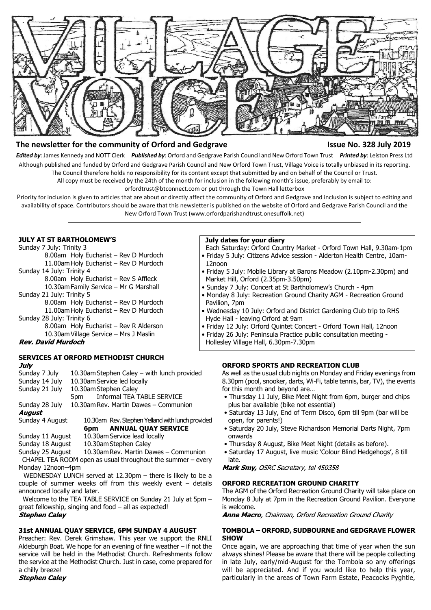

## **The newsletter for the community of Orford and Gedgrave Issue No. 328 July 2019**

*Edited by*: James Kennedy and NOTT Clerk *Published by*: Orford and Gedgrave Parish Council and New Orford Town Trust *Printed by*: Leiston Press Ltd Although published and funded by Orford and Gedgrave Parish Council and New Orford Town Trust, Village Voice is totally unbiased in its reporting. The Council therefore holds no responsibility for its content except that submitted by and on behalf of the Council or Trust.

All copy must be received by the 24th of the month for inclusion in the following month's issue, preferably by email to:

orfordtrust@btconnect.com or put through the Town Hall letterbox

Priority for inclusion is given to articles that are about or directly affect the community of Orford and Gedgrave and inclusion is subject to editing and availability of space. Contributors should be aware that this newsletter is published on the website of Orford and Gedgrave Parish Council and the New Orford Town Trust (www.orfordparishandtrust.onesuffolk.net)

#### **JULY AT ST BARTHOLOMEW'S**

Sunday 7 July: Trinity 3 8.00am Holy Eucharist – Rev D Murdoch 11.00am Holy Eucharist – Rev D Murdoch Sunday 14 July: Trinity 4 8.00am Holy Eucharist – Rev S Affleck 10.30am Family Service – Mr G Marshall Sunday 21 July: Trinity 5 8.00am Holy Eucharist – Rev D Murdoch 11.00am Holy Eucharist – Rev D Murdoch Sunday 28 July: Trinity 6

8.00am Holy Eucharist – Rev R Alderson 10.30am Village Service – Mrs J Maslin

#### **Rev. David Murdoch**

#### **SERVICES AT ORFORD METHODIST CHURCH** July

| Sunday 7 July    | 10.30am Stephen Caley - with lunch provided      |
|------------------|--------------------------------------------------|
| Sunday 14 July   | 10.30am Service led locally                      |
| Sunday 21 July   | 10.30am Stephen Caley                            |
|                  | 5pm Informal TEA TABLE SERVICE                   |
| Sunday 28 July   | 10.30am Rev. Martin Dawes - Communion            |
| August           |                                                  |
| Sunday 4 August  | 10.30am Rev. Stephen Yelland with lunch provided |
|                  | <b>ANNUAL QUAY SERVICE</b><br>6pm                |
| Sunday 11 August | 10.30am Service lead locally                     |
|                  |                                                  |

Sunday 18 August 10.30am Stephen Caley

Sunday 25 August 10.30am Rev. Martin Dawes – Communion

 CHAPEL TEA ROOM open as usual throughout the summer – every Monday 12noon–4pm

 WEDNESDAY LUNCH served at 12.30pm – there is likely to be a couple of summer weeks off from this weekly event  $-$  details announced locally and later.

 Welcome to the TEA TABLE SERVICE on Sunday 21 July at 5pm – great fellowship, singing and food – all as expected! **Stephen Caley** 

#### **31st ANNUAL QUAY SERVICE, 6PM SUNDAY 4 AUGUST**

Preacher: Rev. Derek Grimshaw. This year we support the RNLI Aldeburgh Boat. We hope for an evening of fine weather – if not the service will be held in the Methodist Church. Refreshments follow the service at the Methodist Church. Just in case, come prepared for a chilly breeze!

**Stephen Calev** 

#### **July dates for your diary**

 Each Saturday: Orford Country Market - Orford Town Hall, 9.30am-1pm • Friday 5 July: Citizens Advice session - Alderton Health Centre, 10am- 12noon

- Friday 5 July: Mobile Library at Barons Meadow (2.10pm-2.30pm) and Market Hill, Orford (2.35pm-3.50pm)
- Sunday 7 July: Concert at St Bartholomew's Church 4pm
- Monday 8 July: Recreation Ground Charity AGM Recreation Ground Pavilion, 7pm
- Wednesday 10 July: Orford and District Gardening Club trip to RHS Hyde Hall - leaving Orford at 9am
- Friday 12 July: Orford Quintet Concert Orford Town Hall, 12noon
- Friday 26 July: Peninsula Practice public consultation meeting -

Hollesley Village Hall, 6.30pm-7.30pm

# **ORFORD SPORTS AND RECREATION CLUB**

As well as the usual club nights on Monday and Friday evenings from 8.30pm (pool, snooker, darts, Wi-Fi, table tennis, bar, TV), the events for this month and beyond are…

- Thursday 11 July, Bike Meet Night from 6pm, burger and chips plus bar available (bike not essential)
- Saturday 13 July, End of Term Disco, 6pm till 9pm (bar will be open, for parents!)
- Saturday 20 July, Steve Richardson Memorial Darts Night, 7pm onwards
- Thursday 8 August, Bike Meet Night (details as before).
- Saturday 17 August, live music 'Colour Blind Hedgehogs', 8 till late.

Mark Smy, OSRC Secretary, tel 450358

#### **ORFORD RECREATION GROUND CHARITY**

The AGM of the Orford Recreation Ground Charity will take place on Monday 8 July at 7pm in the Recreation Ground Pavilion. Everyone is welcome.

Anne Macro, Chairman, Orford Recreation Ground Charity

#### **TOMBOLA – ORFORD, SUDBOURNE and GEDGRAVE FLOWER SHOW**

Once again, we are approaching that time of year when the sun always shines! Please be aware that there will be people collecting in late July, early/mid-August for the Tombola so any offerings will be appreciated. And if you would like to help this year, particularly in the areas of Town Farm Estate, Peacocks Pyghtle,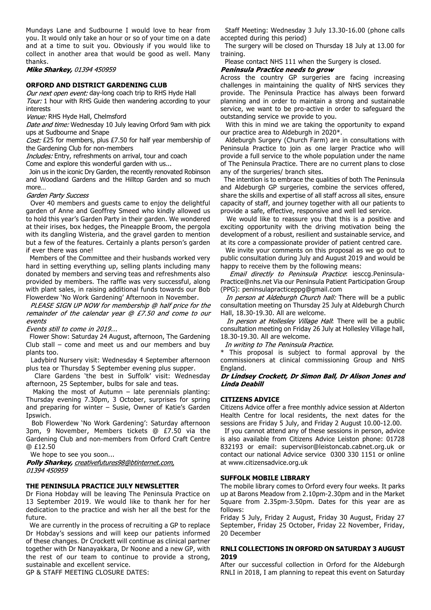Mundays Lane and Sudbourne I would love to hear from you. It would only take an hour or so of your time on a date and at a time to suit you. Obviously if you would like to collect in another area that would be good as well. Many thanks.

Mike Sharkey, 01394 450959

#### **ORFORD AND DISTRICT GARDENING CLUB**

Our next open event: day-long coach trip to RHS Hyde Hall

Tour: 1 hour with RHS Guide then wandering according to your interests

Venue: RHS Hyde Hall, Chelmsford

Date and time: Wednesday 10 July leaving Orford 9am with pick ups at Sudbourne and Snape

Cost: £25 for members, plus £7.50 for half year membership of the Gardening Club for non-members

Includes: Entry, refreshments on arrival, tour and coach

Come and explore this wonderful garden with us...

 Join us in the iconic Dry Garden, the recently renovated Robinson and Woodland Gardens and the Hilltop Garden and so much more…

#### Garden Party Success

 Over 40 members and guests came to enjoy the delightful garden of Anne and Geoffrey Smeed who kindly allowed us to hold this year's Garden Party in their garden. We wondered at their irises, box hedges, the Pineapple Broom, the pergola with its dangling Wisteria, and the gravel garden to mention but a few of the features. Certainly a plants person's garden if ever there was one!

 Members of the Committee and their husbands worked very hard in setting everything up, selling plants including many donated by members and serving teas and refreshments also provided by members. The raffle was very successful, along with plant sales, in raising additional funds towards our Bob Flowerdew 'No Work Gardening' Afternoon in November.<br>PLEASE SIGN UP NOW for membership @ half price for the

remainder of the calendar year @ £7.50 and come to our events

Events still to come in 2019...

 Flower Show: Saturday 24 August, afternoon, The Gardening Club stall – come and meet us and our members and buy plants too.

 Ladybird Nursery visit: Wednesday 4 September afternoon plus tea or Thursday 5 September evening plus supper.

 Clare Gardens 'the best in Suffolk' visit: Wednesday afternoon, 25 September, bulbs for sale and teas.

Making the most of Autumn  $-$  late perennials planting: Thursday evening 7.30pm, 3 October, surprises for spring and preparing for winter – Susie, Owner of Katie's Garden Ipswich.

 Bob Flowerdew 'No Work Gardening': Saturday afternoon 3pm, 9 November, Members tickets @ £7.50 via the Gardening Club and non-members from Orford Craft Centre @ £12.50

We hope to see you soon...

Polly Sharkey, creativefutures98@btinternet.com, 01394 450959

### **THE PENINSULA PRACTICE JULY NEWSLETTER**

Dr Fiona Hobday will be leaving The Peninsula Practice on 13 September 2019. We would like to thank her for her dedication to the practice and wish her all the best for the future.

 We are currently in the process of recruiting a GP to replace Dr Hobday's sessions and will keep our patients informed of these changes. Dr Crockett will continue as clinical partner together with Dr Nanayakkara, Dr Noone and a new GP, with the rest of our team to continue to provide a strong, sustainable and excellent service.

GP & STAFF MEETING CLOSURE DATES:

 Staff Meeting: Wednesday 3 July 13.30-16.00 (phone calls accepted during this period)

 The surgery will be closed on Thursday 18 July at 13.00 for training.

Please contact NHS 111 when the Surgery is closed.

# Peninsula Practice needs to grow

Across the country GP surgeries are facing increasing challenges in maintaining the quality of NHS services they provide. The Peninsula Practice has always been forward planning and in order to maintain a strong and sustainable service, we want to be pro-active in order to safeguard the outstanding service we provide to you.

 With this in mind we are taking the opportunity to expand our practice area to Aldeburgh in 2020\*.

 Aldeburgh Surgery (Church Farm) are in consultations with Peninsula Practice to join as one larger Practice who will provide a full service to the whole population under the name of The Peninsula Practice. There are no current plans to close any of the surgeries/ branch sites.

 The intention is to embrace the qualities of both The Peninsula and Aldeburgh GP surgeries, combine the services offered, share the skills and expertise of all staff across all sites, ensure capacity of staff, and journey together with all our patients to provide a safe, effective, responsive and well led service.

 We would like to reassure you that this is a positive and exciting opportunity with the driving motivation being the development of a robust, resilient and sustainable service, and at its core a compassionate provider of patient centred care.

 We invite your comments on this proposal as we go out to public consultation during July and August 2019 and would be happy to receive them by the following means:

Email directly to Peninsula Practice: iesccq.Peninsula-Practice@nhs.net Via our Peninsula Patient Participation Group (PPG): peninsulapracticeppg@gmail.com

In person at Aldeburgh Church hall: There will be a public consultation meeting on Thursday 25 July at Aldeburgh Church Hall, 18.30-19.30. All are welcome.

In person at Hollesley Village Hall: There will be a public consultation meeting on Friday 26 July at Hollesley Village hall, 18.30-19.30. All are welcome.

In writing to The Peninsula Practice.

\* This proposal is subject to formal approval by the commissioners at clinical commissioning Group and NHS

# England.<br>**Dr Lindsey Crockett, Dr Simon Ball, Dr Alison Jones and Linda Deabill**

## **CITIZENS ADVICE**

Citizens Advice offer a free monthly advice session at Alderton Health Centre for local residents, the next dates for the sessions are Friday 5 July, and Friday 2 August 10.00-12.00.

 If you cannot attend any of these sessions in person, advice is also available from Citizens Advice Leiston phone: 01728 832193 or email: supervisor@leistoncab.cabnet.org.uk or contact our national Advice service 0300 330 1151 or online at www.citizensadvice.org.uk

#### **SUFFOLK MOBILE LIBRARY**

The mobile library comes to Orford every four weeks. It parks up at Barons Meadow from 2.10pm-2.30pm and in the Market Square from 2.35pm-3.50pm. Dates for this year are as follows:

Friday 5 July, Friday 2 August, Friday 30 August, Friday 27 September, Friday 25 October, Friday 22 November, Friday, 20 December

#### **RNLI COLLECTIONS IN ORFORD ON SATURDAY 3 AUGUST 2019**

After our successful collection in Orford for the Aldeburgh RNLI in 2018, I am planning to repeat this event on Saturday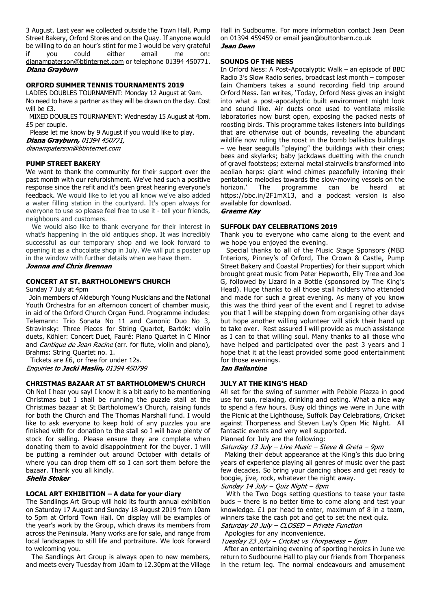3 August. Last year we collected outside the Town Hall, Pump Street Bakery, Orford Stores and on the Quay. If anyone would be willing to do an hour's stint for me I would be very grateful<br>if you could either email me on: if you could either email me on: dianampaterson@btinternet.com or telephone 01394 450771. Diana Grayburn

#### **ORFORD SUMMER TENNIS TOURNAMENTS 2019**

LADIES DOUBLES TOURNAMENT: Monday 12 August at 9am. No need to have a partner as they will be drawn on the day. Cost will be £3.

 MIXED DOUBLES TOURNAMENT: Wednesday 15 August at 4pm. £5 per couple.

 Please let me know by 9 August if you would like to play. Diana Grayburn, 01394 450771, dianampaterson@btinternet.com

**PUMP STREET BAKERY**

We want to thank the community for their support over the past month with our refurbishment. We've had such a positive response since the refit and it's been great hearing everyone's feedback. We would like to let you all know we've also added a water filling station in the courtyard. It's open always for everyone to use so please feel free to use it - tell your friends, neighbours and customers.

 We would also like to thank everyone for their interest in what's happening in the old antiques shop. It was incredibly successful as our temporary shop and we look forward to opening it as a chocolate shop in July. We will put a poster up in the window with further details when we have them.

Joanna and Chris Brennan

#### **CONCERT AT ST. BARTHOLOMEW'S CHURCH**

Sunday 7 July at 4pm

 Join members of Aldeburgh Young Musicians and the National Youth Orchestra for an afternoon concert of chamber music, in aid of the Orford Church Organ Fund. Programme includes: Telemann: Trio Sonata No 11 and Canonic Duo No 3, Stravinsky: Three Pieces for String Quartet, Bartók: violin duets, Köhler: Concert Duet, Fauré: Piano Quartet in C Minor and Cantique de Jean Racine (arr. for flute, violin and piano), Brahms: String Quartet no. 1.

 Tickets are £6, or free for under 12s. Enquiries to Jacki Maslin, 01394 450799

#### **CHRISTMAS BAZAAR AT ST BARTHOLOMEW'S CHURCH**

Oh No! I hear you say! I know it is a bit early to be mentioning Christmas but I shall be running the puzzle stall at the Christmas bazaar at St Bartholomew's Church, raising funds for both the Church and The Thomas Marshall fund. I would like to ask everyone to keep hold of any puzzles you are finished with for donation to the stall so I will have plenty of stock for selling. Please ensure they are complete when donating them to avoid disappointment for the buyer. I will be putting a reminder out around October with details of where you can drop them off so I can sort them before the bazaar. Thank you all kindly.

**Sheila Stoker** 

#### **LOCAL ART EXHIBITION – A date for your diary**

The Sandlings Art Group will hold its fourth annual exhibition on Saturday 17 August and Sunday 18 August 2019 from 10am to 5pm at Orford Town Hall. On display will be examples of the year's work by the Group, which draws its members from across the Peninsula. Many works are for sale, and range from local landscapes to still life and portraiture. We look forward to welcoming you.

 The Sandlings Art Group is always open to new members, and meets every Tuesday from 10am to 12.30pm at the Village Hall in Sudbourne. For more information contact Jean Dean on 01394 459459 or email jean@buttonbarn.co.uk

# Jean Dean

### **SOUNDS OF THE NESS**

In Orford Ness: A Post-Apocalyptic Walk – an episode of BBC Radio 3's Slow Radio series, broadcast last month – composer Iain Chambers takes a sound recording field trip around Orford Ness. Ian writes, 'Today, Orford Ness gives an insight into what a post-apocalyptic built environment might look and sound like. Air ducts once used to ventilate missile laboratories now burst open, exposing the packed nests of roosting birds. This programme takes listeners into buildings that are otherwise out of bounds, revealing the abundant wildlife now ruling the roost in the bomb ballistics buildings – we hear seagulls "playing" the buildings with their cries; bees and skylarks; baby jackdaws duetting with the crunch of gravel footsteps; external metal stairwells transformed into aeolian harps: giant wind chimes peacefully intoning their pentatonic melodies towards the slow-moving vessels on the horizon.' The programme can be heard at https://bbc.in/2F1mX13, and a podcast version is also available for download.

#### **Graeme Kay**

#### **SUFFOLK DAY CELEBRATIONS 2019**

Thank you to everyone who came along to the event and we hope you enjoyed the evening.

 Special thanks to all of the Music Stage Sponsors (MBD Interiors, Pinney's of Orford, The Crown & Castle, Pump Street Bakery and Coastal Properties) for their support which brought great music from Peter Hepworth, Elly Tree and Joe G, followed by Lizard in a Bottle (sponsored by The King's Head). Huge thanks to all those stall holders who attended and made for such a great evening. As many of you know this was the third year of the event and I regret to advise you that I will be stepping down from organising other days but hope another willing volunteer will stick their hand up to take over. Rest assured I will provide as much assistance as I can to that willing soul. Many thanks to all those who have helped and participated over the past 3 years and I hope that it at the least provided some good entertainment for those evenings.

**Ian Ballantine** 

#### **JULY AT THE KING'S HEAD**

All set for the swing of summer with Pebble Piazza in good use for sun, relaxing, drinking and eating. What a nice way to spend a few hours. Busy old things we were in June with the Picnic at the Lighthouse, Suffolk Day Celebrations, Cricket against Thorpeness and Steven Lay's Open Mic Night. All fantastic events and very well supported.

Planned for July are the following:

Saturday 13 July - Live Music - Steve & Greta - 9pm

 Making their debut appearance at the King's this duo bring years of experience playing all genres of music over the past few decades. So bring your dancing shoes and get ready to boogie, jive, rock, whatever the night away.

Sunday 14 July - Quiz Night - 8pm

 With the Two Dogs setting questions to tease your taste buds – there is no better time to come along and test your knowledge. £1 per head to enter, maximum of 8 in a team, winners take the cash pot and get to set the next quiz.

Saturday 20 July - CLOSED - Private Function Apologies for any inconvenience.

Tuesday 23 July - Cricket vs Thorpeness - 6pm

 After an entertaining evening of sporting heroics in June we return to Sudbourne Hall to play our friends from Thorpeness in the return leg. The normal endeavours and amusement